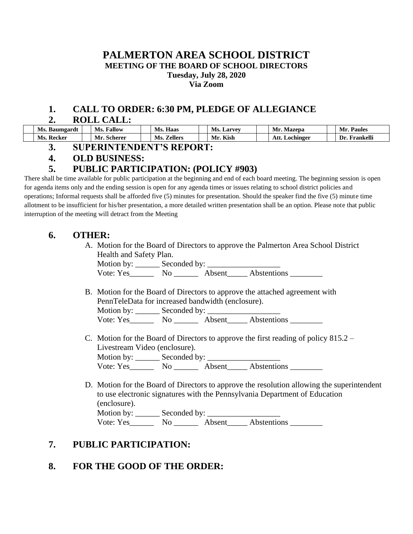#### **PALMERTON AREA SCHOOL DISTRICT MEETING OF THE BOARD OF SCHOOL DIRECTORS Tuesday, July 28, 2020 Via Zoom**

#### **1. CALL TO ORDER: 6:30 PM, PLEDGE OF ALLEGIANCE**

#### **2. ROLL CALL:**

| Ms.<br>Baumgardt | Fallow<br>Ms.        | Haas<br>Ms.    | Ms.<br>Larvey | Mr.<br>Mazepa     | Mı<br>Paules     |
|------------------|----------------------|----------------|---------------|-------------------|------------------|
| Ms.<br>Recker    | . .<br>Mr<br>Scherer | Zellers<br>Ms. | Kish<br>Mr    | Att.<br>Lochinger | Frankelli<br>Dr. |

**3. SUPERINTENDENT'S REPORT:**

## **4. OLD BUSINESS:**

## **5. PUBLIC PARTICIPATION: (POLICY #903)**

There shall be time available for public participation at the beginning and end of each board meeting. The beginning session is open for agenda items only and the ending session is open for any agenda times or issues relating to school district policies and operations; Informal requests shall be afforded five (5) minutes for presentation. Should the speaker find the five (5) minute time allotment to be insufficient for his/her presentation, a more detailed written presentation shall be an option. Please note that public interruption of the meeting will detract from the Meeting

## **6. OTHER:**

A. Motion for the Board of Directors to approve the Palmerton Area School District Health and Safety Plan.

Motion by: Seconded by:

Vote: Yes\_\_\_\_\_\_\_\_\_ No \_\_\_\_\_\_\_\_\_ Absent\_\_\_\_\_\_ Abstentions \_\_\_\_\_\_

B. Motion for the Board of Directors to approve the attached agreement with PennTeleData for increased bandwidth (enclosure). Motion by: \_\_\_\_\_\_ Seconded by: \_\_\_\_\_\_\_\_\_\_\_\_\_\_\_\_\_\_

Vote: Yes\_\_\_\_\_\_\_\_ No \_\_\_\_\_\_\_ Absent\_\_\_\_\_ Abstentions \_\_\_\_\_\_\_\_\_

- C. Motion for the Board of Directors to approve the first reading of policy  $815.2 -$ Livestream Video (enclosure).<br>Motion by: \_\_\_\_\_\_\_\_ Seconded by: \_\_\_\_\_\_\_\_\_\_ Motion by: \_\_\_\_\_\_ Seconded by: \_\_\_\_\_\_\_\_\_\_\_\_\_\_\_\_\_\_ Vote: Yes\_\_\_\_\_\_\_\_ No \_\_\_\_\_\_\_ Absent\_\_\_\_\_ Abstentions \_\_\_\_\_\_\_\_\_
- D. Motion for the Board of Directors to approve the resolution allowing the superintendent to use electronic signatures with the Pennsylvania Department of Education (enclosure). Motion by: \_\_\_\_\_\_ Seconded by: \_\_\_\_\_\_\_\_\_\_\_\_\_\_\_\_\_\_ Vote: Yes\_\_\_\_\_\_\_\_ No \_\_\_\_\_\_\_ Absent\_\_\_\_\_ Abstentions \_\_\_\_\_\_\_\_\_

# **7. PUBLIC PARTICIPATION:**

# **8. FOR THE GOOD OF THE ORDER:**